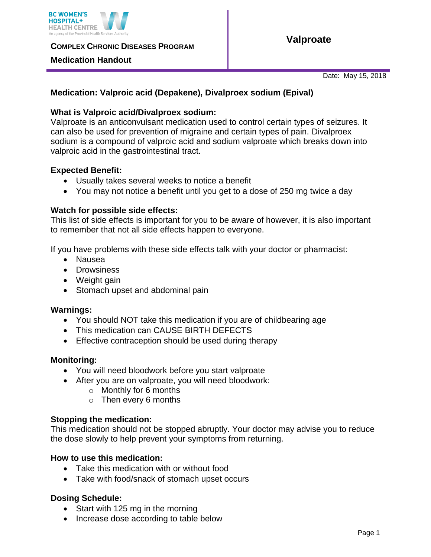

**COMPLEX CHRONIC DISEASES PROGRAM** 

## **Medication Handout**

**Valproate** 

Date: May 15, 2018

# **Medication: Valproic acid (Depakene), Divalproex sodium (Epival)**

# **What is Valproic acid/Divalproex sodium:**

Valproate is an anticonvulsant medication used to control certain types of seizures. It can also be used for prevention of migraine and certain types of pain. Divalproex sodium is a compound of valproic acid and sodium valproate which breaks down into valproic acid in the gastrointestinal tract.

## **Expected Benefit:**

- Usually takes several weeks to notice a benefit
- You may not notice a benefit until you get to a dose of 250 mg twice a day

#### **Watch for possible side effects:**

This list of side effects is important for you to be aware of however, it is also important to remember that not all side effects happen to everyone.

If you have problems with these side effects talk with your doctor or pharmacist:

- Nausea
- Drowsiness
- Weight gain
- Stomach upset and abdominal pain

#### **Warnings:**

- You should NOT take this medication if you are of childbearing age
- This medication can CAUSE BIRTH DEFECTS
- **Effective contraception should be used during therapy**

#### **Monitoring:**

- You will need bloodwork before you start valproate
- After you are on valproate, you will need bloodwork:
	- o Monthly for 6 months
	- o Then every 6 months

#### **Stopping the medication:**

This medication should not be stopped abruptly. Your doctor may advise you to reduce the dose slowly to help prevent your symptoms from returning.

#### **How to use this medication:**

- Take this medication with or without food
- Take with food/snack of stomach upset occurs

# **Dosing Schedule:**

- Start with 125 mg in the morning
- Increase dose according to table below